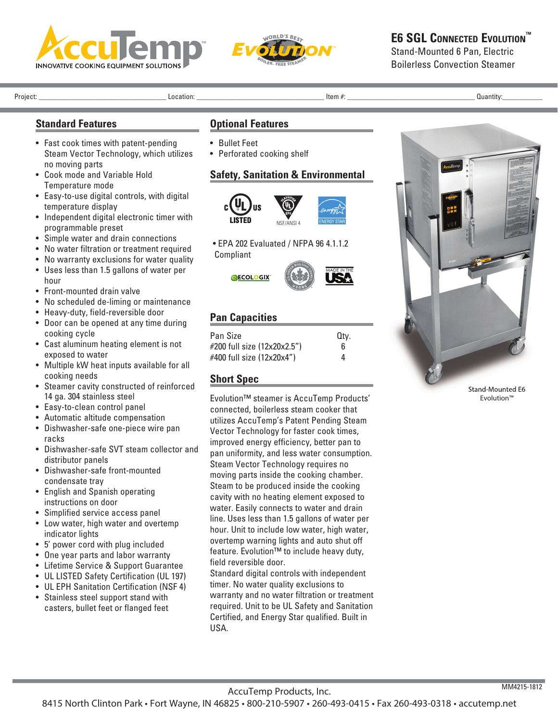



# **E6 SGL CONNECTED EVOLUTION™**

Stand-Mounted 6 Pan, Electric Boilerless Convection Steamer

Project: \_\_\_\_\_\_\_\_\_\_\_\_\_\_\_\_\_\_\_\_\_\_\_\_\_\_\_\_\_\_\_\_\_\_\_ Location: \_\_\_\_\_\_\_\_\_\_\_\_\_\_\_\_\_\_\_\_\_\_\_\_\_\_\_\_\_\_\_\_\_\_\_ Item #: \_\_\_\_\_\_\_\_\_\_\_\_\_\_\_\_\_\_\_\_\_\_\_\_\_\_\_\_\_\_\_\_\_\_\_ Quantity:\_\_\_\_\_\_\_\_\_\_\_

### **Standard Features**

- Fast cook times with patent-pending Steam Vector Technology, which utilizes no moving parts
- Cook mode and Variable Hold Temperature mode
- Easy-to-use digital controls, with digital temperature display
- Independent digital electronic timer with programmable preset
- Simple water and drain connections
- No water filtration or treatment required
- No warranty exclusions for water quality
- Uses less than 1.5 gallons of water per hour
- Front-mounted drain valve
- No scheduled de-liming or maintenance
- Heavy-duty, field-reversible door
- Door can be opened at any time during cooking cycle
- Cast aluminum heating element is not exposed to water
- Multiple kW heat inputs available for all cooking needs
- Steamer cavity constructed of reinforced 14 ga. 304 stainless steel
- Easy-to-clean control panel
- Automatic altitude compensation
- Dishwasher-safe one-piece wire pan racks
- Dishwasher-safe SVT steam collector and distributor panels
- Dishwasher-safe front-mounted condensate tray
- English and Spanish operating instructions on door
- Simplified service access panel
- Low water, high water and overtemp indicator lights
- 5' power cord with plug included
- One year parts and labor warranty
- Lifetime Service & Support Guarantee
- UL LISTED Safety Certification (UL 197)
- UL EPH Sanitation Certification (NSF 4)
- Stainless steel support stand with casters, bullet feet or flanged feet

#### **Optional Features**

- Bullet Feet
- Perforated cooking shelf

#### **Safety, Sanitation & Environmental**



• EPA 202 Evaluated / NFPA 96 4.1.1.2 Compliant



## **Pan Capacities**

| Pan Size                    | Qtv. |
|-----------------------------|------|
| #200 full size (12x20x2.5") | 6    |
| #400 full size (12x20x4")   | 4    |

### **Short Spec**

Evolution™ steamer is AccuTemp Products' connected, boilerless steam cooker that utilizes AccuTemp's Patent Pending Steam Vector Technology for faster cook times, improved energy efficiency, better pan to pan uniformity, and less water consumption. Steam Vector Technology requires no moving parts inside the cooking chamber. Steam to be produced inside the cooking cavity with no heating element exposed to water. Easily connects to water and drain line. Uses less than 1.5 gallons of water per hour. Unit to include low water, high water, overtemp warning lights and auto shut off feature. Evolution™ to include heavy duty, field reversible door.

Standard digital controls with independent timer. No water quality exclusions to warranty and no water filtration or treatment required. Unit to be UL Safety and Sanitation Certified, and Energy Star qualified. Built in USA.



Stand-Mounted E6 Evolution™